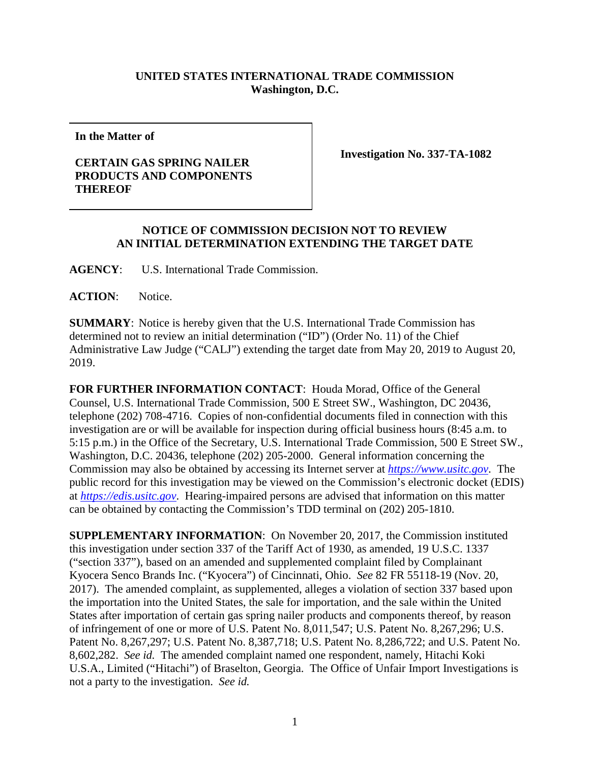## **UNITED STATES INTERNATIONAL TRADE COMMISSION Washington, D.C.**

**In the Matter of**

## **CERTAIN GAS SPRING NAILER PRODUCTS AND COMPONENTS THEREOF**

**Investigation No. 337-TA-1082**

## **NOTICE OF COMMISSION DECISION NOT TO REVIEW AN INITIAL DETERMINATION EXTENDING THE TARGET DATE**

**AGENCY**: U.S. International Trade Commission.

ACTION: Notice.

**SUMMARY**: Notice is hereby given that the U.S. International Trade Commission has determined not to review an initial determination ("ID") (Order No. 11) of the Chief Administrative Law Judge ("CALJ") extending the target date from May 20, 2019 to August 20, 2019.

**FOR FURTHER INFORMATION CONTACT**: Houda Morad, Office of the General Counsel, U.S. International Trade Commission, 500 E Street SW., Washington, DC 20436, telephone (202) 708-4716. Copies of non-confidential documents filed in connection with this investigation are or will be available for inspection during official business hours (8:45 a.m. to 5:15 p.m.) in the Office of the Secretary, U.S. International Trade Commission, 500 E Street SW., Washington, D.C. 20436, telephone (202) 205-2000. General information concerning the Commission may also be obtained by accessing its Internet server at *[https://www.usitc.gov](https://www.usitc.gov/)*. The public record for this investigation may be viewed on the Commission's electronic docket (EDIS) at *[https://edis.usitc.gov](http://edis.usitc.gov/)*. Hearing-impaired persons are advised that information on this matter can be obtained by contacting the Commission's TDD terminal on (202) 205-1810.

**SUPPLEMENTARY INFORMATION**: On November 20, 2017, the Commission instituted this investigation under section 337 of the Tariff Act of 1930, as amended, 19 U.S.C. 1337 ("section 337"), based on an amended and supplemented complaint filed by Complainant Kyocera Senco Brands Inc. ("Kyocera") of Cincinnati, Ohio. *See* 82 FR 55118-19 (Nov. 20, 2017). The amended complaint, as supplemented, alleges a violation of section 337 based upon the importation into the United States, the sale for importation, and the sale within the United States after importation of certain gas spring nailer products and components thereof, by reason of infringement of one or more of U.S. Patent No. 8,011,547; U.S. Patent No. 8,267,296; U.S. Patent No. 8,267,297; U.S. Patent No. 8,387,718; U.S. Patent No. 8,286,722; and U.S. Patent No. 8,602,282. *See id.* The amended complaint named one respondent, namely, Hitachi Koki U.S.A., Limited ("Hitachi") of Braselton, Georgia. The Office of Unfair Import Investigations is not a party to the investigation. *See id.*